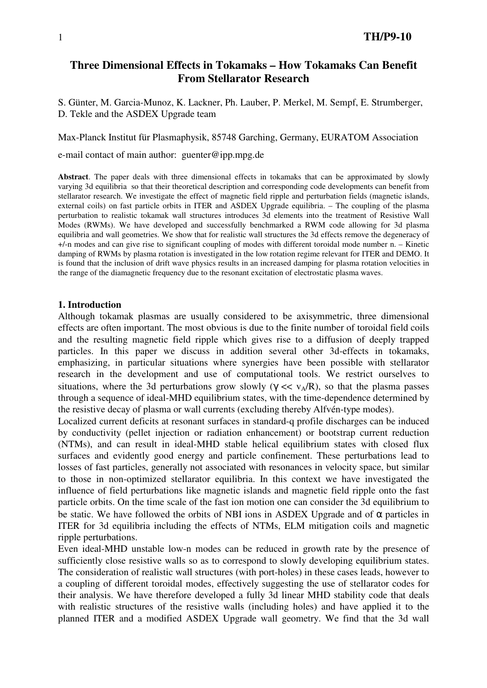# **Three Dimensional Effects in Tokamaks – How Tokamaks Can Benefit From Stellarator Research**

S. Günter, M. Garcia-Munoz, K. Lackner, Ph. Lauber, P. Merkel, M. Sempf, E. Strumberger, D. Tekle and the ASDEX Upgrade team

Max-Planck Institut für Plasmaphysik, 85748 Garching, Germany, EURATOM Association

e-mail contact of main author: guenter@ipp.mpg.de

**Abstract**. The paper deals with three dimensional effects in tokamaks that can be approximated by slowly varying 3d equilibria so that their theoretical description and corresponding code developments can benefit from stellarator research. We investigate the effect of magnetic field ripple and perturbation fields (magnetic islands, external coils) on fast particle orbits in ITER and ASDEX Upgrade equilibria. – The coupling of the plasma perturbation to realistic tokamak wall structures introduces 3d elements into the treatment of Resistive Wall Modes (RWMs). We have developed and successfully benchmarked a RWM code allowing for 3d plasma equilibria and wall geometries. We show that for realistic wall structures the 3d effects remove the degeneracy of +/-n modes and can give rise to significant coupling of modes with different toroidal mode number n. – Kinetic damping of RWMs by plasma rotation is investigated in the low rotation regime relevant for ITER and DEMO. It is found that the inclusion of drift wave physics results in an increased damping for plasma rotation velocities in the range of the diamagnetic frequency due to the resonant excitation of electrostatic plasma waves.

### **1. Introduction**

Although tokamak plasmas are usually considered to be axisymmetric, three dimensional effects are often important. The most obvious is due to the finite number of toroidal field coils and the resulting magnetic field ripple which gives rise to a diffusion of deeply trapped particles. In this paper we discuss in addition several other 3d-effects in tokamaks, emphasizing, in particular situations where synergies have been possible with stellarator research in the development and use of computational tools. We restrict ourselves to situations, where the 3d perturbations grow slowly ( $\gamma \ll v_A/R$ ), so that the plasma passes through a sequence of ideal-MHD equilibrium states, with the time-dependence determined by the resistive decay of plasma or wall currents (excluding thereby Alfvén-type modes).

Localized current deficits at resonant surfaces in standard-q profile discharges can be induced by conductivity (pellet injection or radiation enhancement) or bootstrap current reduction (NTMs), and can result in ideal-MHD stable helical equilibrium states with closed flux surfaces and evidently good energy and particle confinement. These perturbations lead to losses of fast particles, generally not associated with resonances in velocity space, but similar to those in non-optimized stellarator equilibria. In this context we have investigated the influence of field perturbations like magnetic islands and magnetic field ripple onto the fast particle orbits. On the time scale of the fast ion motion one can consider the 3d equilibrium to be static. We have followed the orbits of NBI ions in ASDEX Upgrade and of  $\alpha$  particles in ITER for 3d equilibria including the effects of NTMs, ELM mitigation coils and magnetic ripple perturbations.

Even ideal-MHD unstable low-n modes can be reduced in growth rate by the presence of sufficiently close resistive walls so as to correspond to slowly developing equilibrium states. The consideration of realistic wall structures (with port-holes) in these cases leads, however to a coupling of different toroidal modes, effectively suggesting the use of stellarator codes for their analysis. We have therefore developed a fully 3d linear MHD stability code that deals with realistic structures of the resistive walls (including holes) and have applied it to the planned ITER and a modified ASDEX Upgrade wall geometry. We find that the 3d wall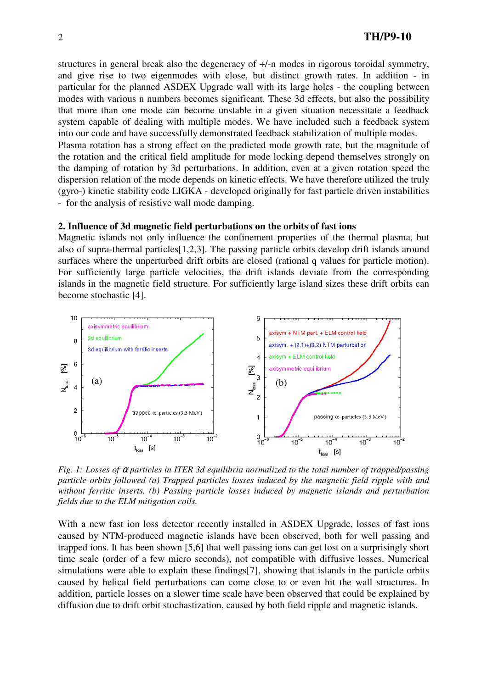structures in general break also the degeneracy of +/-n modes in rigorous toroidal symmetry, and give rise to two eigenmodes with close, but distinct growth rates. In addition - in particular for the planned ASDEX Upgrade wall with its large holes - the coupling between modes with various n numbers becomes significant. These 3d effects, but also the possibility that more than one mode can become unstable in a given situation necessitate a feedback system capable of dealing with multiple modes. We have included such a feedback system into our code and have successfully demonstrated feedback stabilization of multiple modes.

Plasma rotation has a strong effect on the predicted mode growth rate, but the magnitude of the rotation and the critical field amplitude for mode locking depend themselves strongly on the damping of rotation by 3d perturbations. In addition, even at a given rotation speed the dispersion relation of the mode depends on kinetic effects. We have therefore utilized the truly (gyro-) kinetic stability code LIGKA - developed originally for fast particle driven instabilities - for the analysis of resistive wall mode damping.

### **2. Influence of 3d magnetic field perturbations on the orbits of fast ions**

Magnetic islands not only influence the confinement properties of the thermal plasma, but also of supra-thermal particles[1,2,3]. The passing particle orbits develop drift islands around surfaces where the unperturbed drift orbits are closed (rational q values for particle motion). For sufficiently large particle velocities, the drift islands deviate from the corresponding islands in the magnetic field structure. For sufficiently large island sizes these drift orbits can become stochastic [4].



*Fig. 1: Losses of* α *particles in ITER 3d equilibria normalized to the total number of trapped/passing particle orbits followed (a) Trapped particles losses induced by the magnetic field ripple with and without ferritic inserts. (b) Passing particle losses induced by magnetic islands and perturbation fields due to the ELM mitigation coils.* 

With a new fast ion loss detector recently installed in ASDEX Upgrade, losses of fast ions caused by NTM-produced magnetic islands have been observed, both for well passing and trapped ions. It has been shown [5,6] that well passing ions can get lost on a surprisingly short time scale (order of a few micro seconds), not compatible with diffusive losses. Numerical simulations were able to explain these findings[7], showing that islands in the particle orbits caused by helical field perturbations can come close to or even hit the wall structures. In addition, particle losses on a slower time scale have been observed that could be explained by diffusion due to drift orbit stochastization, caused by both field ripple and magnetic islands.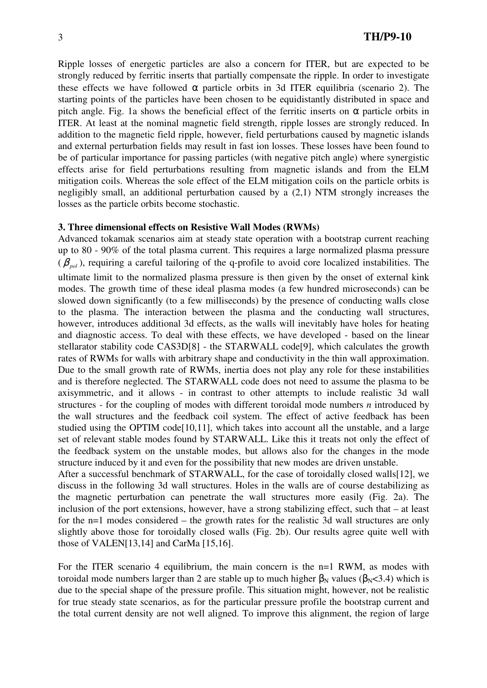Ripple losses of energetic particles are also a concern for ITER, but are expected to be strongly reduced by ferritic inserts that partially compensate the ripple. In order to investigate these effects we have followed  $\alpha$  particle orbits in 3d ITER equilibria (scenario 2). The starting points of the particles have been chosen to be equidistantly distributed in space and pitch angle. Fig. 1a shows the beneficial effect of the ferritic inserts on  $\alpha$  particle orbits in ITER. At least at the nominal magnetic field strength, ripple losses are strongly reduced. In addition to the magnetic field ripple, however, field perturbations caused by magnetic islands and external perturbation fields may result in fast ion losses. These losses have been found to be of particular importance for passing particles (with negative pitch angle) where synergistic effects arise for field perturbations resulting from magnetic islands and from the ELM mitigation coils. Whereas the sole effect of the ELM mitigation coils on the particle orbits is negligibly small, an additional perturbation caused by a (2,1) NTM strongly increases the losses as the particle orbits become stochastic.

### **3. Three dimensional effects on Resistive Wall Modes (RWMs)**

Advanced tokamak scenarios aim at steady state operation with a bootstrap current reaching up to 80 - 90% of the total plasma current. This requires a large normalized plasma pressure  $(\beta_{pol})$ , requiring a careful tailoring of the q-profile to avoid core localized instabilities. The ultimate limit to the normalized plasma pressure is then given by the onset of external kink modes. The growth time of these ideal plasma modes (a few hundred microseconds) can be slowed down significantly (to a few milliseconds) by the presence of conducting walls close to the plasma. The interaction between the plasma and the conducting wall structures, however, introduces additional 3d effects, as the walls will inevitably have holes for heating and diagnostic access. To deal with these effects, we have developed - based on the linear stellarator stability code CAS3D[8] - the STARWALL code[9], which calculates the growth rates of RWMs for walls with arbitrary shape and conductivity in the thin wall approximation. Due to the small growth rate of RWMs, inertia does not play any role for these instabilities and is therefore neglected. The STARWALL code does not need to assume the plasma to be axisymmetric, and it allows - in contrast to other attempts to include realistic 3d wall structures - for the coupling of modes with different toroidal mode numbers *n* introduced by the wall structures and the feedback coil system. The effect of active feedback has been studied using the OPTIM code<sup>[10,11]</sup>, which takes into account all the unstable, and a large set of relevant stable modes found by STARWALL. Like this it treats not only the effect of the feedback system on the unstable modes, but allows also for the changes in the mode structure induced by it and even for the possibility that new modes are driven unstable. After a successful benchmark of STARWALL, for the case of toroidally closed walls[12], we discuss in the following 3d wall structures. Holes in the walls are of course destabilizing as

the magnetic perturbation can penetrate the wall structures more easily (Fig. 2a). The inclusion of the port extensions, however, have a strong stabilizing effect, such that – at least for the n=1 modes considered – the growth rates for the realistic 3d wall structures are only slightly above those for toroidally closed walls (Fig. 2b). Our results agree quite well with those of VALEN[13,14] and CarMa [15,16].

For the ITER scenario 4 equilibrium, the main concern is the n=1 RWM, as modes with toroidal mode numbers larger than 2 are stable up to much higher  $\beta_N$  values ( $\beta_N$ <3.4) which is due to the special shape of the pressure profile. This situation might, however, not be realistic for true steady state scenarios, as for the particular pressure profile the bootstrap current and the total current density are not well aligned. To improve this alignment, the region of large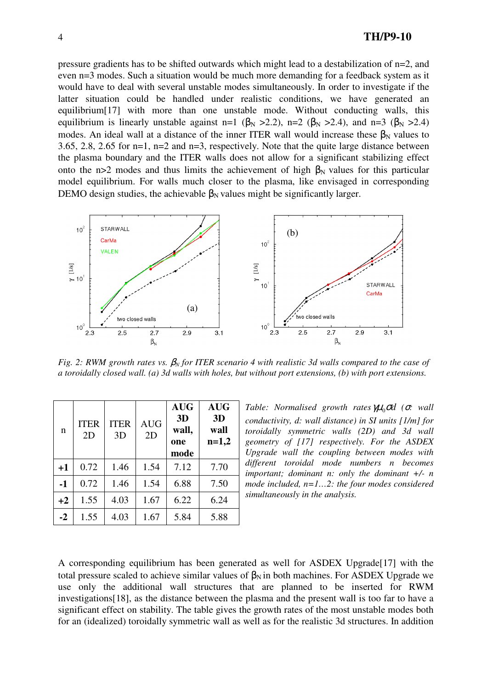pressure gradients has to be shifted outwards which might lead to a destabilization of n=2, and even n=3 modes. Such a situation would be much more demanding for a feedback system as it would have to deal with several unstable modes simultaneously. In order to investigate if the latter situation could be handled under realistic conditions, we have generated an equilibrium[17] with more than one unstable mode. Without conducting walls, this equilibrium is linearly unstable against n=1 ( $\beta_N > 2.2$ ), n=2 ( $\beta_N > 2.4$ ), and n=3 ( $\beta_N > 2.4$ ) modes. An ideal wall at a distance of the inner ITER wall would increase these  $\beta_N$  values to 3.65, 2.8, 2.65 for n=1, n=2 and n=3, respectively. Note that the quite large distance between the plasma boundary and the ITER walls does not allow for a significant stabilizing effect onto the n>2 modes and thus limits the achievement of high  $\beta_N$  values for this particular model equilibrium. For walls much closer to the plasma, like envisaged in corresponding DEMO design studies, the achievable  $\beta_N$  values might be significantly larger.



*Fig. 2: RWM growth rates vs.* β*N for ITER scenario 4 with realistic 3d walls compared to the case of a toroidally closed wall. (a) 3d walls with holes, but without port extensions, (b) with port extensions.* 

| n    | <b>ITER</b><br>2D | <b>ITER</b><br>3D | <b>AUG</b><br>2D | <b>AUG</b><br>3D<br>wall,<br>one<br>mode | <b>AUG</b><br>3D<br>wall<br>$n=1,2$ |
|------|-------------------|-------------------|------------------|------------------------------------------|-------------------------------------|
| $+1$ | 0.72              | 1.46              | 1.54             | 7.12                                     | 7.70                                |
| $-1$ | 0.72              | 1.46              | 1.54             | 6.88                                     | 7.50                                |
| $+2$ | 1.55              | 4.03              | 1.67             | 6.22                                     | 6.24                                |
| $-2$ | 1.55              | 4.03              | 1.67             | 5.84                                     | 5.88                                |

*Table: Normalised growth rates*  $\mu$ <sub>0</sub>σd (σ: wall *conductivity, d: wall distance) in SI units [1/m] for toroidally symmetric walls (2D) and 3d wall geometry of [17] respectively. For the ASDEX Upgrade wall the coupling between modes with different toroidal mode numbers n becomes important; dominant n: only the dominant +/- n mode included, n=1…2: the four modes considered simultaneously in the analysis.* 

A corresponding equilibrium has been generated as well for ASDEX Upgrade[17] with the total pressure scaled to achieve similar values of  $\beta_N$  in both machines. For ASDEX Upgrade we use only the additional wall structures that are planned to be inserted for RWM investigations[18], as the distance between the plasma and the present wall is too far to have a significant effect on stability. The table gives the growth rates of the most unstable modes both for an (idealized) toroidally symmetric wall as well as for the realistic 3d structures. In addition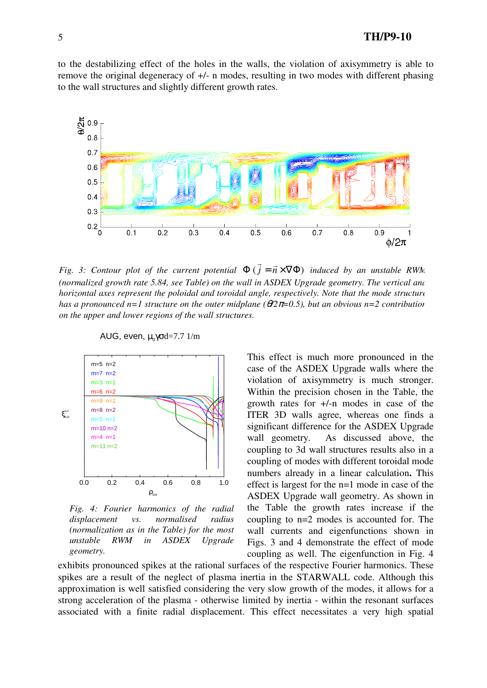# 5 **TH/P9-10**

to the destabilizing effect of the holes in the walls, the violation of axisymmetry is able to remove the original degeneracy of +/- n modes, resulting in two modes with different phasing to the wall structures and slightly different growth rates.



*Fig. 3: Contour plot of the current potential*  $\Phi(j = \vec{n} \times \nabla \Phi)$  $\overline{r}$   $\overline{r}$  *induced by an unstable RWM (normalized growth rate 5.84, see Table) on the wall in ASDEX Upgrade geometry. The vertical and horizontal axes represent the poloidal and toroidal angle, respectively. Note that the mode structure has a pronounced n=1 structure on the outer midplane (*θ*/2*π*=0.5), but an obvious n=2 contribution on the upper and lower regions of the wall structures.* 



AUG, even, μ $_0$ γσd=7.7 1/m

*Fig. 4: Fourier harmonics of the radial displacement vs. normalised radius (normalization as in the Table) for the most unstable RWM in ASDEX Upgrade geometry.*

This effect is much more pronounced in the case of the ASDEX Upgrade walls where the violation of axisymmetry is much stronger. Within the precision chosen in the Table, the growth rates for +/-n modes in case of the ITER 3D walls agree, whereas one finds a significant difference for the ASDEX Upgrade wall geometry. As discussed above, the coupling to 3d wall structures results also in a coupling of modes with different toroidal mode numbers already in a linear calculation**.** This effect is largest for the n=1 mode in case of the ASDEX Upgrade wall geometry. As shown in the Table the growth rates increase if the coupling to n=2 modes is accounted for. The wall currents and eigenfunctions shown in Figs. 3 and 4 demonstrate the effect of mode coupling as well. The eigenfunction in Fig. 4

exhibits pronounced spikes at the rational surfaces of the respective Fourier harmonics. These spikes are a result of the neglect of plasma inertia in the STARWALL code. Although this approximation is well satisfied considering the very slow growth of the modes, it allows for a strong acceleration of the plasma - otherwise limited by inertia - within the resonant surfaces associated with a finite radial displacement. This effect necessitates a very high spatial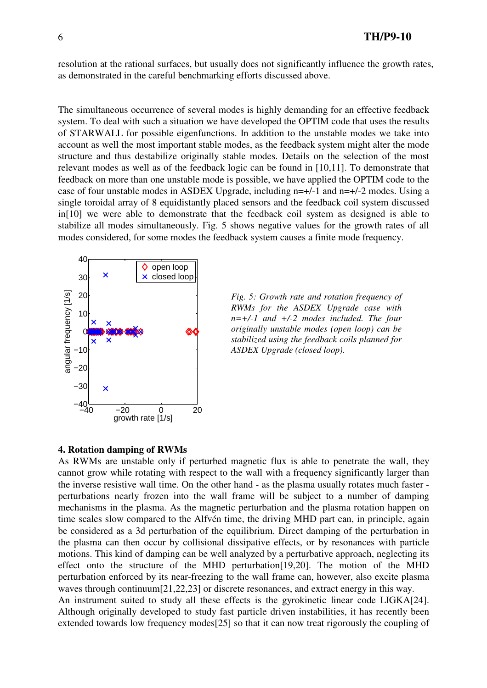resolution at the rational surfaces, but usually does not significantly influence the growth rates, as demonstrated in the careful benchmarking efforts discussed above.

The simultaneous occurrence of several modes is highly demanding for an effective feedback system. To deal with such a situation we have developed the OPTIM code that uses the results of STARWALL for possible eigenfunctions. In addition to the unstable modes we take into account as well the most important stable modes, as the feedback system might alter the mode structure and thus destabilize originally stable modes. Details on the selection of the most relevant modes as well as of the feedback logic can be found in [10,11]. To demonstrate that feedback on more than one unstable mode is possible, we have applied the OPTIM code to the case of four unstable modes in ASDEX Upgrade, including n=+/-1 and n=+/-2 modes. Using a single toroidal array of 8 equidistantly placed sensors and the feedback coil system discussed in[10] we were able to demonstrate that the feedback coil system as designed is able to stabilize all modes simultaneously. Fig. 5 shows negative values for the growth rates of all modes considered, for some modes the feedback system causes a finite mode frequency.





### **4. Rotation damping of RWMs**

As RWMs are unstable only if perturbed magnetic flux is able to penetrate the wall, they cannot grow while rotating with respect to the wall with a frequency significantly larger than the inverse resistive wall time. On the other hand - as the plasma usually rotates much faster perturbations nearly frozen into the wall frame will be subject to a number of damping mechanisms in the plasma. As the magnetic perturbation and the plasma rotation happen on time scales slow compared to the Alfvén time, the driving MHD part can, in principle, again be considered as a 3d perturbation of the equilibrium. Direct damping of the perturbation in the plasma can then occur by collisional dissipative effects, or by resonances with particle motions. This kind of damping can be well analyzed by a perturbative approach, neglecting its effect onto the structure of the MHD perturbation[19,20]. The motion of the MHD perturbation enforced by its near-freezing to the wall frame can, however, also excite plasma waves through continuum[21,22,23] or discrete resonances, and extract energy in this way. An instrument suited to study all these effects is the gyrokinetic linear code LIGKA[24]. Although originally developed to study fast particle driven instabilities, it has recently been extended towards low frequency modes[25] so that it can now treat rigorously the coupling of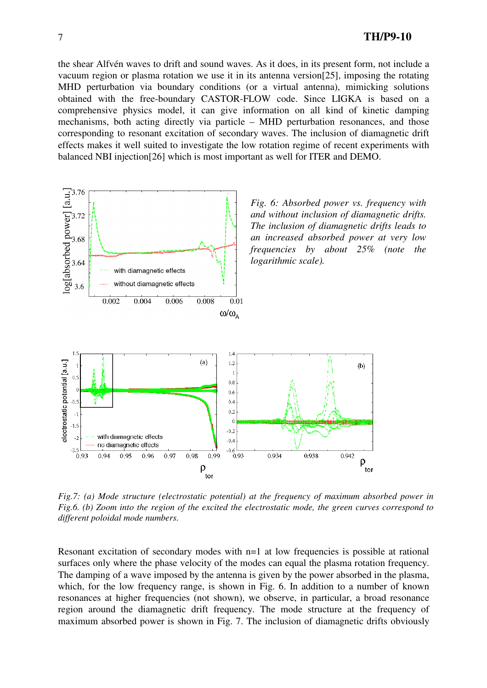the shear Alfvén waves to drift and sound waves. As it does, in its present form, not include a vacuum region or plasma rotation we use it in its antenna version[25], imposing the rotating MHD perturbation via boundary conditions (or a virtual antenna), mimicking solutions obtained with the free-boundary CASTOR-FLOW code. Since LIGKA is based on a comprehensive physics model, it can give information on all kind of kinetic damping mechanisms, both acting directly via particle – MHD perturbation resonances, and those corresponding to resonant excitation of secondary waves. The inclusion of diamagnetic drift effects makes it well suited to investigate the low rotation regime of recent experiments with balanced NBI injection[26] which is most important as well for ITER and DEMO.



*Fig.7: (a) Mode structure (electrostatic potential) at the frequency of maximum absorbed power in Fig.6. (b) Zoom into the region of the excited the electrostatic mode, the green curves correspond to different poloidal mode numbers.* 

Resonant excitation of secondary modes with n=1 at low frequencies is possible at rational surfaces only where the phase velocity of the modes can equal the plasma rotation frequency. The damping of a wave imposed by the antenna is given by the power absorbed in the plasma, which, for the low frequency range, is shown in Fig. 6. In addition to a number of known resonances at higher frequencies (not shown), we observe, in particular, a broad resonance region around the diamagnetic drift frequency. The mode structure at the frequency of maximum absorbed power is shown in Fig. 7. The inclusion of diamagnetic drifts obviously